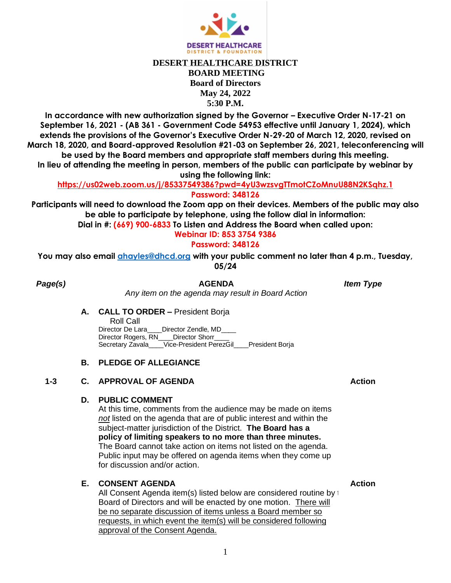

# **DESERT HEALTHCARE DISTRICT BOARD MEETING Board of Directors May 24, 2022 5:30 P.M.**

**In accordance with new authorization signed by the Governor – Executive Order N-17-21 on September 16, 2021 - (AB 361 - Government Code 54953 effective until January 1, 2024), which extends the provisions of the Governor's Executive Order N-29-20 of March 12, 2020, revised on March 18, 2020, and Board-approved Resolution #21-03 on September 26, 2021, teleconferencing will be used by the Board members and appropriate staff members during this meeting. In lieu of attending the meeting in person, members of the public can participate by webinar by** 

**using the following link:** 

**https://us02web.zoom.us/j/85337549386?pwd=4yU3wzsvgTTmotCZoMnuU88N2KSqhz.1 Password: 348126**

**Participants will need to download the Zoom app on their devices. Members of the public may also be able to participate by telephone, using the follow dial in information:**

**Dial in #: (669) 900-6833 To Listen and Address the Board when called upon:** 

**Webinar ID: 853 3754 9386**

# **Password: 348126**

**You may also email [ahayles@dhcd.org](mailto:ahayles@dhcd.org) with your public comment no later than 4 p.m., Tuesday, 05/24**

*Page(s)* **AGENDA** *Item Type*

*Any item on the agenda may result in Board Action*

**A. CALL TO ORDER –** President Borja

Roll Call<br>Director De Lara Director Zendle, MD Director Rogers, RN\_\_\_\_Director Shorr Secretary Zavala\_\_\_\_Vice-President PerezGil\_\_\_\_President Borja

## **B. PLEDGE OF ALLEGIANCE**

## **1-3 C. APPROVAL OF AGENDA Action**

## **D. PUBLIC COMMENT**

At this time, comments from the audience may be made on items *not* listed on the agenda that are of public interest and within the subject-matter jurisdiction of the District. **The Board has a policy of limiting speakers to no more than three minutes.** The Board cannot take action on items not listed on the agenda. Public input may be offered on agenda items when they come up for discussion and/or action.

#### **E. CONSENT AGENDA Action**

All Consent Agenda item(s) listed below are considered routine by  $\pm$ Board of Directors and will be enacted by one motion. There will be no separate discussion of items unless a Board member so requests, in which event the item(s) will be considered following approval of the Consent Agenda.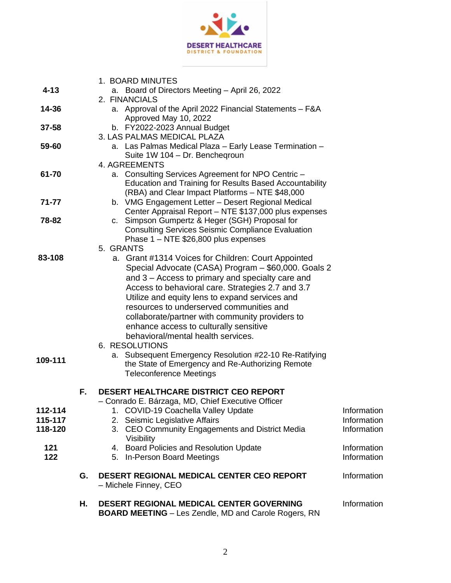

| $4 - 13$   |    | 1. BOARD MINUTES<br>a. Board of Directors Meeting - April 26, 2022                                                   |                            |
|------------|----|----------------------------------------------------------------------------------------------------------------------|----------------------------|
|            |    | 2. FINANCIALS                                                                                                        |                            |
| 14-36      |    | a. Approval of the April 2022 Financial Statements - F&A                                                             |                            |
| 37-58      |    | Approved May 10, 2022<br>b. FY2022-2023 Annual Budget                                                                |                            |
|            |    | 3. LAS PALMAS MEDICAL PLAZA                                                                                          |                            |
| 59-60      |    | a. Las Palmas Medical Plaza - Early Lease Termination -                                                              |                            |
|            |    | Suite 1W 104 - Dr. Bencheqroun                                                                                       |                            |
|            |    | 4. AGREEMENTS                                                                                                        |                            |
| 61-70      |    | a. Consulting Services Agreement for NPO Centric -<br><b>Education and Training for Results Based Accountability</b> |                            |
|            |    | (RBA) and Clear Impact Platforms - NTE \$48,000                                                                      |                            |
| 71-77      |    | b. VMG Engagement Letter - Desert Regional Medical                                                                   |                            |
|            |    | Center Appraisal Report - NTE \$137,000 plus expenses                                                                |                            |
| 78-82      |    | c. Simpson Gumpertz & Heger (SGH) Proposal for                                                                       |                            |
|            |    | <b>Consulting Services Seismic Compliance Evaluation</b>                                                             |                            |
|            |    | Phase 1 – NTE \$26,800 plus expenses<br>5. GRANTS                                                                    |                            |
| 83-108     |    | a. Grant #1314 Voices for Children: Court Appointed                                                                  |                            |
|            |    | Special Advocate (CASA) Program - \$60,000. Goals 2                                                                  |                            |
|            |    | and 3 – Access to primary and specialty care and                                                                     |                            |
|            |    | Access to behavioral care. Strategies 2.7 and 3.7                                                                    |                            |
|            |    | Utilize and equity lens to expand services and                                                                       |                            |
|            |    | resources to underserved communities and                                                                             |                            |
|            |    | collaborate/partner with community providers to                                                                      |                            |
|            |    | enhance access to culturally sensitive<br>behavioral/mental health services.                                         |                            |
|            |    | 6. RESOLUTIONS                                                                                                       |                            |
|            |    | a. Subsequent Emergency Resolution #22-10 Re-Ratifying                                                               |                            |
| 109-111    |    | the State of Emergency and Re-Authorizing Remote                                                                     |                            |
|            |    | <b>Teleconference Meetings</b>                                                                                       |                            |
|            | F. | <b>DESERT HEALTHCARE DISTRICT CEO REPORT</b>                                                                         |                            |
|            |    | Conrado E. Bárzaga, MD, Chief Executive Officer                                                                      |                            |
| 112-114    |    | 1. COVID-19 Coachella Valley Update                                                                                  | Information                |
| 115-117    |    | 2. Seismic Legislative Affairs                                                                                       | Information                |
| 118-120    |    | CEO Community Engagements and District Media<br>3.                                                                   | Information                |
|            |    | Visibility                                                                                                           |                            |
| 121<br>122 |    | 4. Board Policies and Resolution Update<br>5. In-Person Board Meetings                                               | Information<br>Information |
|            |    |                                                                                                                      |                            |
|            | G. | DESERT REGIONAL MEDICAL CENTER CEO REPORT<br>- Michele Finney, CEO                                                   | Information                |
|            | Η. | DESERT REGIONAL MEDICAL CENTER GOVERNING<br><b>BOARD MEETING</b> – Les Zendle, MD and Carole Rogers, RN              | Information                |